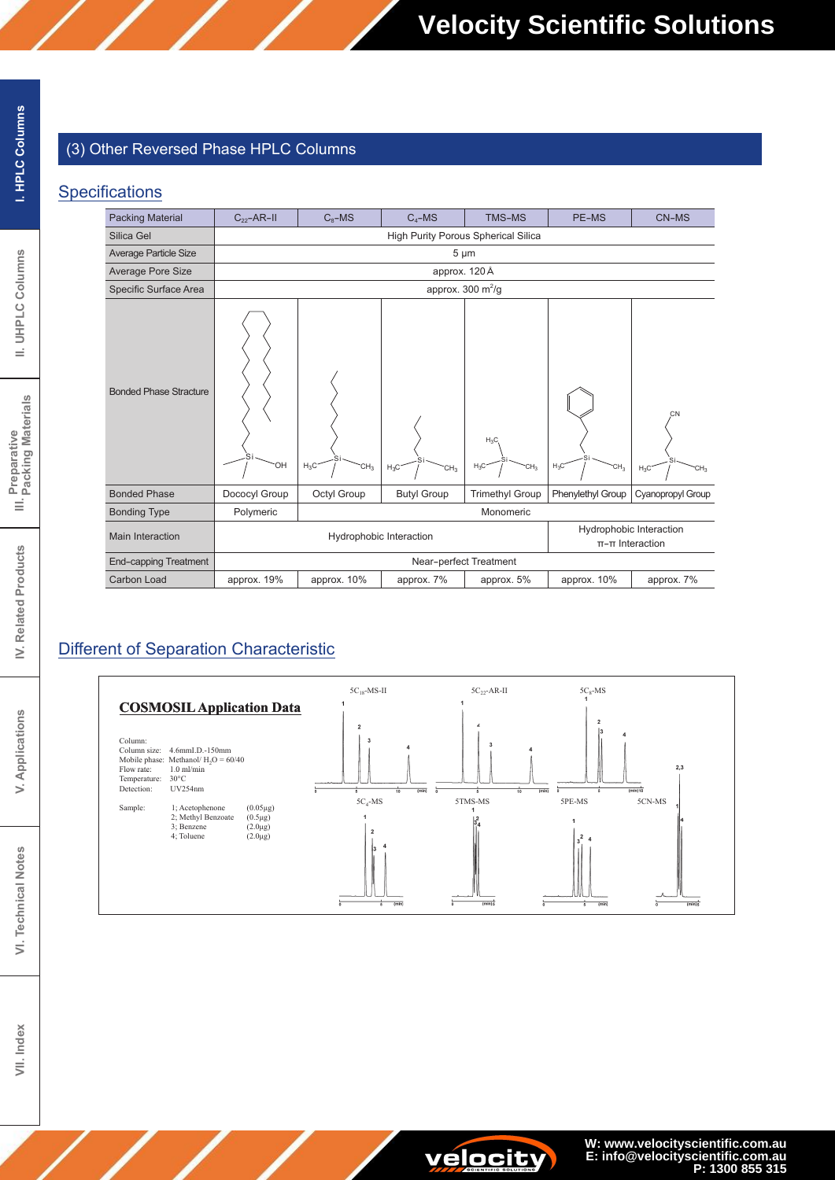## (3) Other Reversed Phase HPLC Columns

### Specifications

| <b>Packing Material</b>       | $C_{22}$ -AR-II                                                                 | $C_8$ -MS                           | $C_4$ –MS                 | <b>TMS-MS</b>                       | PE-MS                     | CN-MS                           |  |
|-------------------------------|---------------------------------------------------------------------------------|-------------------------------------|---------------------------|-------------------------------------|---------------------------|---------------------------------|--|
| Silica Gel                    |                                                                                 | High Purity Porous Spherical Silica |                           |                                     |                           |                                 |  |
| <b>Average Particle Size</b>  |                                                                                 |                                     |                           | $5 \mu m$                           |                           |                                 |  |
| Average Pore Size             |                                                                                 |                                     |                           | approx. 120 Å                       |                           |                                 |  |
| Specific Surface Area         |                                                                                 | approx. 300 $m^2/g$                 |                           |                                     |                           |                                 |  |
| <b>Bonded Phase Stracture</b> | `OH                                                                             | $H_3C$<br>CH <sub>3</sub>           | $H_3C$<br>CH <sub>3</sub> | $H_3C$<br>$H_3C$<br>CH <sub>3</sub> | $H_3C$<br>CH <sub>3</sub> | CN<br>$H_3C$<br>CH <sub>3</sub> |  |
| <b>Bonded Phase</b>           | Dococyl Group                                                                   | Octyl Group                         | <b>Butyl Group</b>        | <b>Trimethyl Group</b>              | Phenylethyl Group         | Cyanopropyl Group               |  |
| <b>Bonding Type</b>           | Polymeric<br>Monomeric                                                          |                                     |                           |                                     |                           |                                 |  |
| <b>Main Interaction</b>       | Hydrophobic Interaction<br>Hydrophobic Interaction<br>$\pi$ - $\pi$ Interaction |                                     |                           |                                     |                           |                                 |  |
| <b>End-capping Treatment</b>  |                                                                                 | Near-perfect Treatment              |                           |                                     |                           |                                 |  |
| Carbon Load                   | approx. 19%                                                                     | approx. 10%                         | approx. 7%                | approx. 5%                          | approx. 10%               | approx. 7%                      |  |

## Different of Separation Characteristic



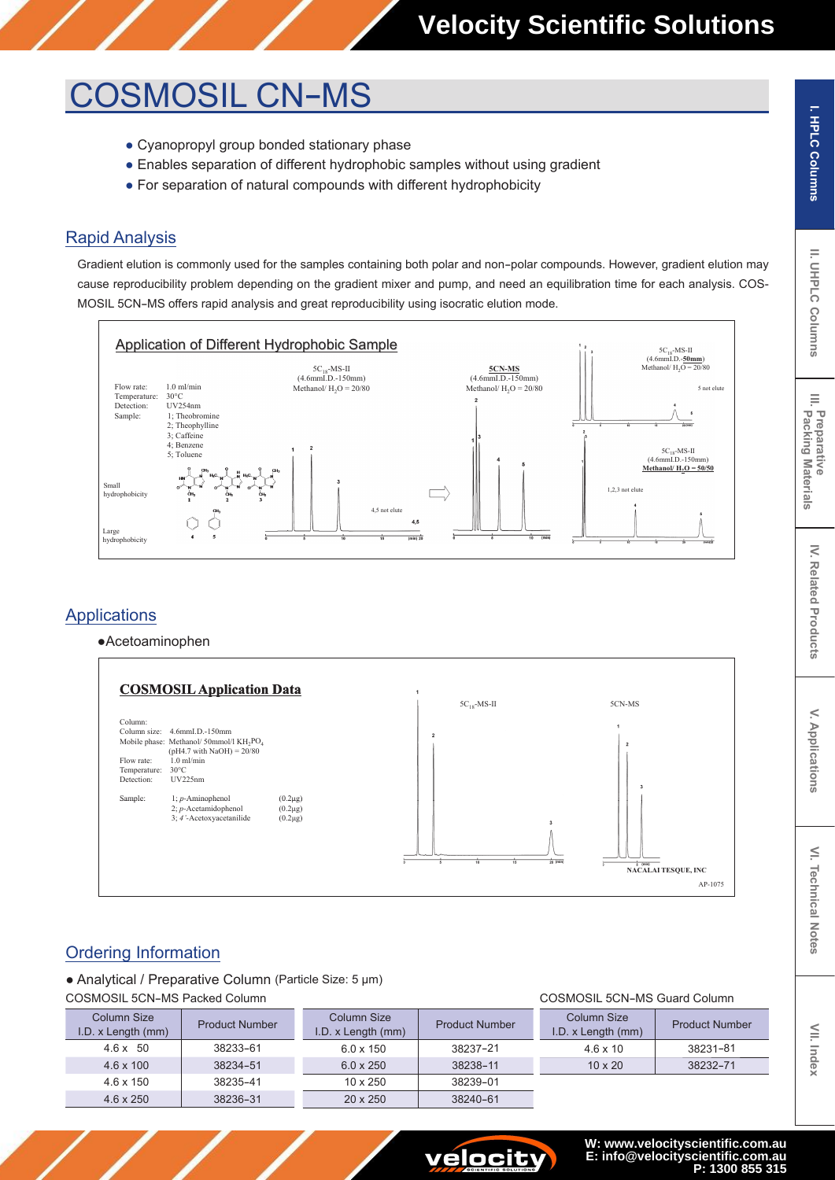## **COSMOSIL CN-MS**

- Cyanopropyl group bonded stationary phase
- Enables separation of different hydrophobic samples without using gradient
- For separation of natural compounds with different hydrophobicity

## **Rapid Analysis**

Gradient elution is commonly used for the samples containing both polar and non-polar compounds. However, gradient elution may cause reproducibility problem depending on the gradient mixer and pump, and need an equilibration time for each analysis. COS-MOSIL 5CN-MS offers rapid analysis and great reproducibility using isocratic elution mode.



## **Applications**

•Acetoaminophen



## **Ordering Information**

• Analytical / Preparative Column (Particle Size: 5 µm)

**COSMOSIL 5CN-MS Packed Column** 

| Column Size<br>I.D. x Length (mm) | <b>Product Number</b> | Column Size<br>I.D. x Length (mm) | <b>Product Number</b> | Column Size<br>I.D. x Length (mm) | <b>Product Number</b> |
|-----------------------------------|-----------------------|-----------------------------------|-----------------------|-----------------------------------|-----------------------|
| $4.6 \times 50$                   | 38233-61              | $6.0 \times 150$                  | 38237-21              | $4.6 \times 10$                   | 38231-81              |
| $4.6 \times 100$                  | 38234-51              | $6.0 \times 250$                  | 38238-11              | $10 \times 20$                    | 38232-71              |
| $4.6 \times 150$                  | 38235-41              | $10 \times 250$                   | 38239-01              |                                   |                       |
| $4.6 \times 250$                  | 38236-31              | $20 \times 250$                   | 38240-61              |                                   |                       |



E